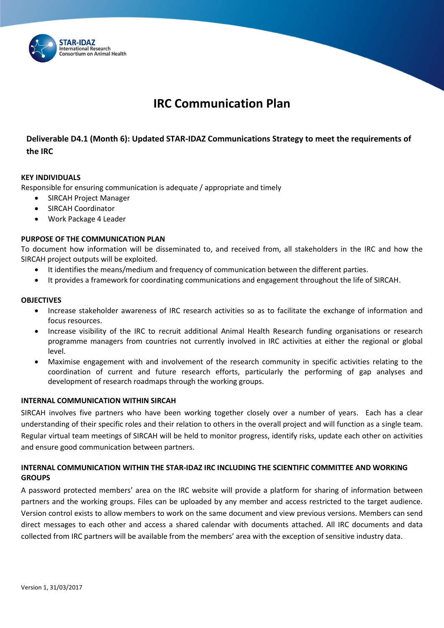

# **IRC Communication Plan**

# **Deliverable D4.1 (Month 6): Updated STAR-IDAZ Communications Strategy to meet the requirements of the IRC**

### **KEY INDIVIDUALS**

Responsible for ensuring communication is adequate / appropriate and timely

- SIRCAH Project Manager
- SIRCAH Coordinator
- Work Package 4 Leader

### **PURPOSE OF THE COMMUNICATION PLAN**

To document how information will be disseminated to, and received from, all stakeholders in the IRC and how the SIRCAH project outputs will be exploited.

- It identifies the means/medium and frequency of communication between the different parties.
- It provides a framework for coordinating communications and engagement throughout the life of SIRCAH.

### **OBJECTIVES**

- Increase stakeholder awareness of IRC research activities so as to facilitate the exchange of information and focus resources.
- Increase visibility of the IRC to recruit additional Animal Health Research funding organisations or research programme managers from countries not currently involved in IRC activities at either the regional or global level.
- Maximise engagement with and involvement of the research community in specific activities relating to the coordination of current and future research efforts, particularly the performing of gap analyses and development of research roadmaps through the working groups.

### **INTERNAL COMMUNICATION WITHIN SIRCAH**

SIRCAH involves five partners who have been working together closely over a number of years. Each has a clear understanding of their specific roles and their relation to others in the overall project and will function as a single team. Regular virtual team meetings of SIRCAH will be held to monitor progress, identify risks, update each other on activities and ensure good communication between partners.

## **INTERNAL COMMUNICATION WITHIN THE STAR-IDAZ IRC INCLUDING THE SCIENTIFIC COMMITTEE AND WORKING GROUPS**

A password protected members' area on the IRC website will provide a platform for sharing of information between partners and the working groups. Files can be uploaded by any member and access restricted to the target audience. Version control exists to allow members to work on the same document and view previous versions. Members can send direct messages to each other and access a shared calendar with documents attached. All IRC documents and data collected from IRC partners will be available from the members' area with the exception of sensitive industry data.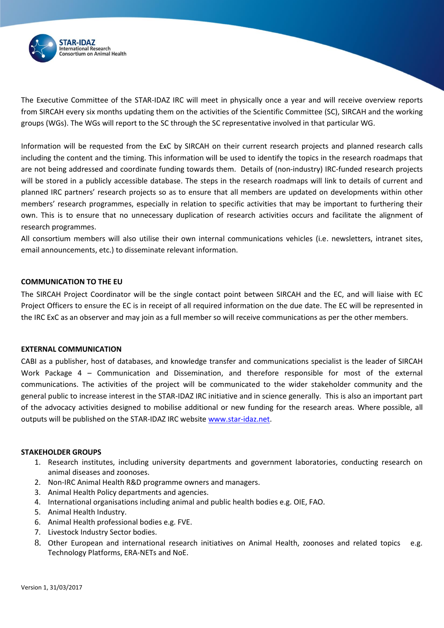

The Executive Committee of the STAR-IDAZ IRC will meet in physically once a year and will receive overview reports from SIRCAH every six months updating them on the activities of the Scientific Committee (SC), SIRCAH and the working groups (WGs). The WGs will report to the SC through the SC representative involved in that particular WG.

Information will be requested from the ExC by SIRCAH on their current research projects and planned research calls including the content and the timing. This information will be used to identify the topics in the research roadmaps that are not being addressed and coordinate funding towards them. Details of (non-industry) IRC-funded research projects will be stored in a publicly accessible database. The steps in the research roadmaps will link to details of current and planned IRC partners' research projects so as to ensure that all members are updated on developments within other members' research programmes, especially in relation to specific activities that may be important to furthering their own. This is to ensure that no unnecessary duplication of research activities occurs and facilitate the alignment of research programmes.

All consortium members will also utilise their own internal communications vehicles (i.e. newsletters, intranet sites, email announcements, etc.) to disseminate relevant information.

### **COMMUNICATION TO THE EU**

The SIRCAH Project Coordinator will be the single contact point between SIRCAH and the EC, and will liaise with EC Project Officers to ensure the EC is in receipt of all required information on the due date. The EC will be represented in the IRC ExC as an observer and may join as a full member so will receive communications as per the other members.

#### **EXTERNAL COMMUNICATION**

CABI as a publisher, host of databases, and knowledge transfer and communications specialist is the leader of SIRCAH Work Package 4 – Communication and Dissemination, and therefore responsible for most of the external communications. The activities of the project will be communicated to the wider stakeholder community and the general public to increase interest in the STAR-IDAZ IRC initiative and in science generally. This is also an important part of the advocacy activities designed to mobilise additional or new funding for the research areas. Where possible, all outputs will be published on the STAR-IDAZ IRC website [www.star-idaz.net.](http://www.star-idaz.net/)

#### **STAKEHOLDER GROUPS**

- 1. Research institutes, including university departments and government laboratories, conducting research on animal diseases and zoonoses.
- 2. Non-IRC Animal Health R&D programme owners and managers.
- 3. Animal Health Policy departments and agencies.
- 4. International organisations including animal and public health bodies e.g. OIE, FAO.
- 5. Animal Health Industry.
- 6. Animal Health professional bodies e.g. FVE.
- 7. Livestock Industry Sector bodies.
- 8. Other European and international research initiatives on Animal Health, zoonoses and related topics e.g. Technology Platforms, ERA-NETs and NoE.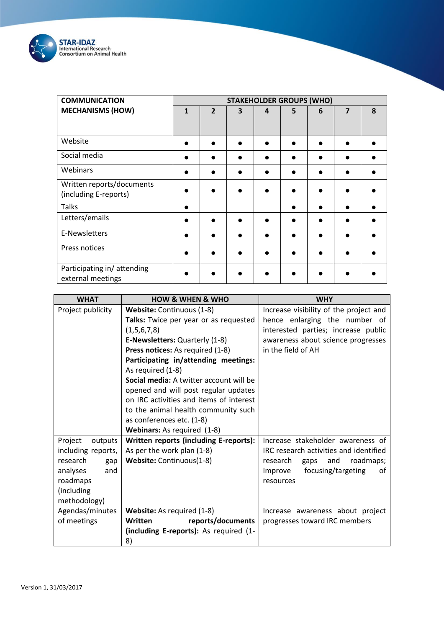

| <b>COMMUNICATION</b>                               | <b>STAKEHOLDER GROUPS (WHO)</b> |                |   |                |   |   |                |   |
|----------------------------------------------------|---------------------------------|----------------|---|----------------|---|---|----------------|---|
| <b>MECHANISMS (HOW)</b>                            | $\mathbf{1}$                    | $\overline{2}$ | 3 | $\overline{a}$ | 5 | 6 | $\overline{7}$ | 8 |
| Website                                            |                                 |                |   |                |   |   |                |   |
| Social media                                       |                                 |                |   |                |   |   |                |   |
| Webinars                                           |                                 |                |   |                |   |   |                |   |
| Written reports/documents<br>(including E-reports) |                                 |                |   |                |   |   |                |   |
| <b>Talks</b>                                       |                                 |                |   |                |   |   |                |   |
| Letters/emails                                     |                                 |                |   |                |   |   |                |   |
| E-Newsletters                                      |                                 |                |   |                |   |   |                |   |
| Press notices                                      |                                 |                |   |                |   |   |                |   |
| Participating in/attending<br>external meetings    |                                 |                |   |                |   |   |                |   |

| <b>WHAT</b>        | <b>HOW &amp; WHEN &amp; WHO</b>         | <b>WHY</b>                             |
|--------------------|-----------------------------------------|----------------------------------------|
| Project publicity  | Website: Continuous (1-8)               | Increase visibility of the project and |
|                    | Talks: Twice per year or as requested   | hence enlarging the number of          |
|                    | (1,5,6,7,8)                             | interested parties; increase public    |
|                    | E-Newsletters: Quarterly (1-8)          | awareness about science progresses     |
|                    | Press notices: As required (1-8)        | in the field of AH                     |
|                    | Participating in/attending meetings:    |                                        |
|                    | As required (1-8)                       |                                        |
|                    | Social media: A twitter account will be |                                        |
|                    | opened and will post regular updates    |                                        |
|                    | on IRC activities and items of interest |                                        |
|                    | to the animal health community such     |                                        |
|                    | as conferences etc. (1-8)               |                                        |
|                    | Webinars: As required (1-8)             |                                        |
| Project<br>outputs | Written reports (including E-reports):  | Increase stakeholder awareness of      |
| including reports, | As per the work plan (1-8)              | IRC research activities and identified |
| research<br>gap    | Website: Continuous(1-8)                | roadmaps;<br>research<br>and<br>gaps   |
| analyses<br>and    |                                         | focusing/targeting<br>Improve<br>οf    |
| roadmaps           |                                         | resources                              |
| (including         |                                         |                                        |
| methodology)       |                                         |                                        |
| Agendas/minutes    | Website: As required (1-8)              | Increase awareness about project       |
| of meetings        | Written<br>reports/documents            | progresses toward IRC members          |
|                    | (including E-reports): As required (1-  |                                        |
|                    | 8)                                      |                                        |